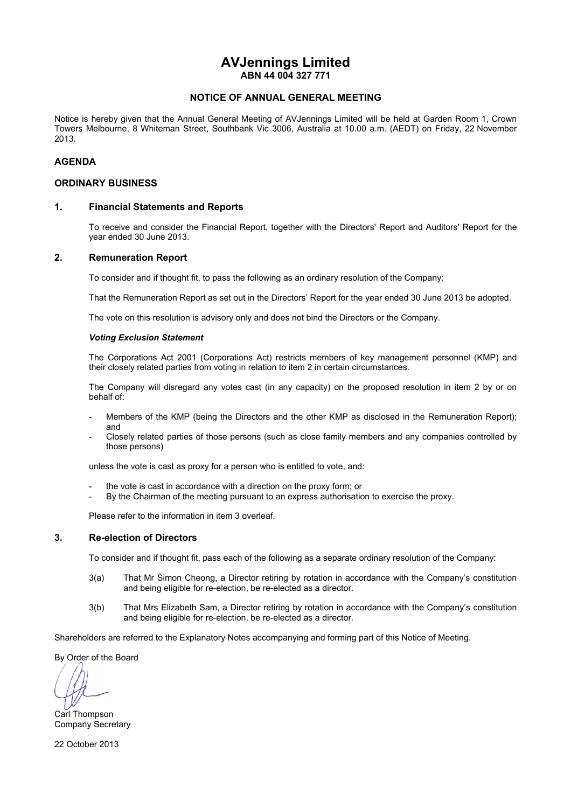# **AVJennings Limited ABN 44 004 327 771**

### **NOTICE OF ANNUAL GENERAL MEETING**

Notice is hereby given that the Annual General Meeting of AVJennings Limited will be held at Garden Room 1, Crown Towers Melbourne, 8 Whiteman Street, Southbank Vic 3006, Australia at 10.00 a.m. (AEDT) on Friday, 22 November 2013.

### **AGENDA**

### **ORDINARY BUSINESS**

### **1. Financial Statements and Reports**

To receive and consider the Financial Report, together with the Directors' Report and Auditors' Report for the year ended 30 June 2013.

### **2. Remuneration Report**

To consider and if thought fit, to pass the following as an ordinary resolution of the Company:

That the Remuneration Report as set out in the Directors' Report for the year ended 30 June 2013 be adopted.

The vote on this resolution is advisory only and does not bind the Directors or the Company.

### *Voting Exclusion Statement*

 The Corporations Act 2001 (Corporations Act) restricts members of key management personnel (KMP) and their closely related parties from voting in relation to item 2 in certain circumstances.

 The Company will disregard any votes cast (in any capacity) on the proposed resolution in item 2 by or on behalf of:

- Members of the KMP (being the Directors and the other KMP as disclosed in the Remuneration Report); and
- Closely related parties of those persons (such as close family members and any companies controlled by those persons)

unless the vote is cast as proxy for a person who is entitled to vote, and:

- the vote is cast in accordance with a direction on the proxy form; or
- By the Chairman of the meeting pursuant to an express authorisation to exercise the proxy.

Please refer to the information in item 3 overleaf.

### **3. Re-election of Directors**

To consider and if thought fit, pass each of the following as a separate ordinary resolution of the Company:

- 3(a) That Mr Simon Cheong, a Director retiring by rotation in accordance with the Company's constitution and being eligible for re-election, be re-elected as a director.
- 3(b) That Mrs Elizabeth Sam, a Director retiring by rotation in accordance with the Company's constitution and being eligible for re-election, be re-elected as a director.

Shareholders are referred to the Explanatory Notes accompanying and forming part of this Notice of Meeting.

By Order of the Board

Carl Thompson Company Secretary

22 October 2013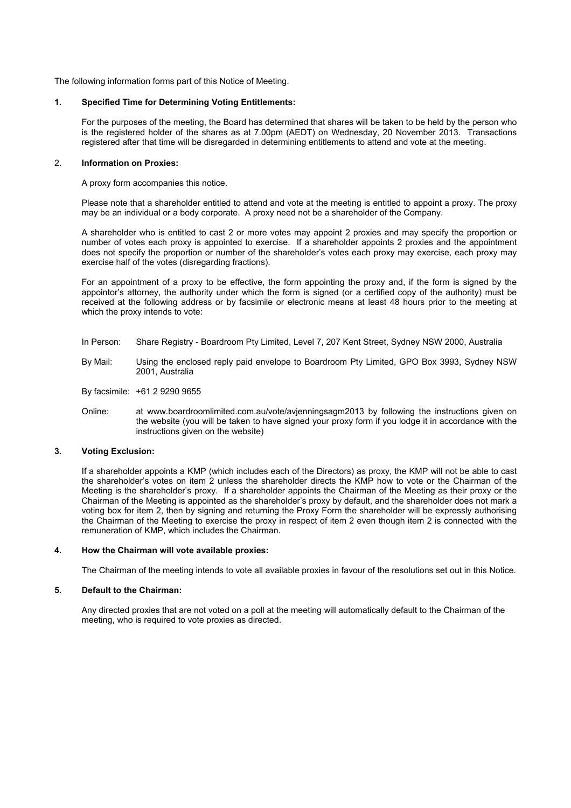The following information forms part of this Notice of Meeting.

### **1. Specified Time for Determining Voting Entitlements:**

For the purposes of the meeting, the Board has determined that shares will be taken to be held by the person who is the registered holder of the shares as at 7.00pm (AEDT) on Wednesday, 20 November 2013. Transactions registered after that time will be disregarded in determining entitlements to attend and vote at the meeting.

### 2. **Information on Proxies:**

A proxy form accompanies this notice.

Please note that a shareholder entitled to attend and vote at the meeting is entitled to appoint a proxy. The proxy may be an individual or a body corporate. A proxy need not be a shareholder of the Company.

A shareholder who is entitled to cast 2 or more votes may appoint 2 proxies and may specify the proportion or number of votes each proxy is appointed to exercise. If a shareholder appoints 2 proxies and the appointment does not specify the proportion or number of the shareholder's votes each proxy may exercise, each proxy may exercise half of the votes (disregarding fractions).

For an appointment of a proxy to be effective, the form appointing the proxy and, if the form is signed by the appointor's attorney, the authority under which the form is signed (or a certified copy of the authority) must be received at the following address or by facsimile or electronic means at least 48 hours prior to the meeting at which the proxy intends to vote:

- In Person: Share Registry Boardroom Pty Limited, Level 7, 207 Kent Street, Sydney NSW 2000, Australia
- By Mail: Using the enclosed reply paid envelope to Boardroom Pty Limited, GPO Box 3993, Sydney NSW 2001, Australia
- By facsimile: +61 2 9290 9655
- Online: at www.boardroomlimited.com.au/vote/avjenningsagm2013 by following the instructions given on the website (you will be taken to have signed your proxy form if you lodge it in accordance with the instructions given on the website)

### **3. Voting Exclusion:**

If a shareholder appoints a KMP (which includes each of the Directors) as proxy, the KMP will not be able to cast the shareholder's votes on item 2 unless the shareholder directs the KMP how to vote or the Chairman of the Meeting is the shareholder's proxy. If a shareholder appoints the Chairman of the Meeting as their proxy or the Chairman of the Meeting is appointed as the shareholder's proxy by default, and the shareholder does not mark a voting box for item 2, then by signing and returning the Proxy Form the shareholder will be expressly authorising the Chairman of the Meeting to exercise the proxy in respect of item 2 even though item 2 is connected with the remuneration of KMP, which includes the Chairman.

### **4. How the Chairman will vote available proxies:**

The Chairman of the meeting intends to vote all available proxies in favour of the resolutions set out in this Notice.

### **5. Default to the Chairman:**

Any directed proxies that are not voted on a poll at the meeting will automatically default to the Chairman of the meeting, who is required to vote proxies as directed.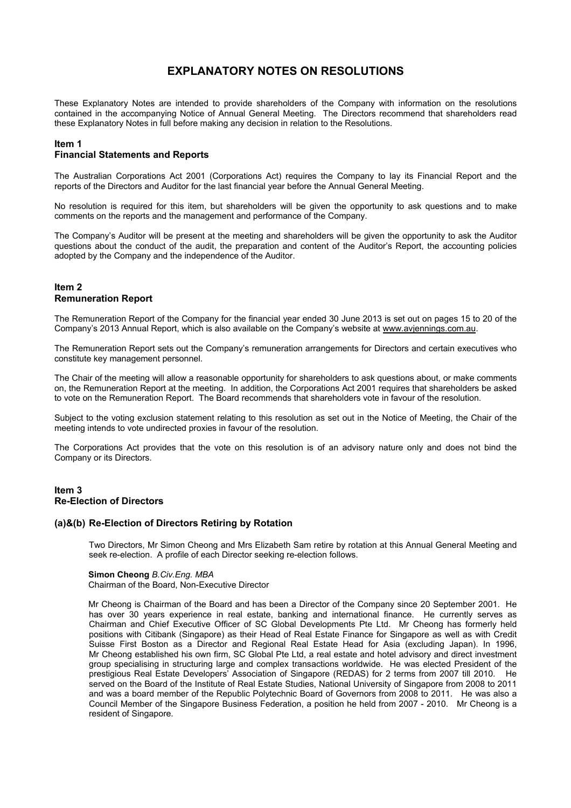# **EXPLANATORY NOTES ON RESOLUTIONS**

These Explanatory Notes are intended to provide shareholders of the Company with information on the resolutions contained in the accompanying Notice of Annual General Meeting. The Directors recommend that shareholders read these Explanatory Notes in full before making any decision in relation to the Resolutions.

### **Item 1**

### **Financial Statements and Reports**

The Australian Corporations Act 2001 (Corporations Act) requires the Company to lay its Financial Report and the reports of the Directors and Auditor for the last financial year before the Annual General Meeting.

No resolution is required for this item, but shareholders will be given the opportunity to ask questions and to make comments on the reports and the management and performance of the Company.

The Company's Auditor will be present at the meeting and shareholders will be given the opportunity to ask the Auditor questions about the conduct of the audit, the preparation and content of the Auditor's Report, the accounting policies adopted by the Company and the independence of the Auditor.

### **Item 2 Remuneration Report**

The Remuneration Report of the Company for the financial year ended 30 June 2013 is set out on pages 15 to 20 of the Company's 2013 Annual Report, which is also available on the Company's website at www.avjennings.com.au.

The Remuneration Report sets out the Company's remuneration arrangements for Directors and certain executives who constitute key management personnel.

The Chair of the meeting will allow a reasonable opportunity for shareholders to ask questions about, or make comments on, the Remuneration Report at the meeting. In addition, the Corporations Act 2001 requires that shareholders be asked to vote on the Remuneration Report. The Board recommends that shareholders vote in favour of the resolution.

Subject to the voting exclusion statement relating to this resolution as set out in the Notice of Meeting, the Chair of the meeting intends to vote undirected proxies in favour of the resolution.

The Corporations Act provides that the vote on this resolution is of an advisory nature only and does not bind the Company or its Directors.

### **Item 3 Re-Election of Directors**

### **(a)&(b) Re-Election of Directors Retiring by Rotation**

Two Directors, Mr Simon Cheong and Mrs Elizabeth Sam retire by rotation at this Annual General Meeting and seek re-election. A profile of each Director seeking re-election follows.

### **Simon Cheong** *B.Civ.Eng. MBA*

Chairman of the Board, Non-Executive Director

Mr Cheong is Chairman of the Board and has been a Director of the Company since 20 September 2001. He has over 30 years experience in real estate, banking and international finance. He currently serves as Chairman and Chief Executive Officer of SC Global Developments Pte Ltd. Mr Cheong has formerly held positions with Citibank (Singapore) as their Head of Real Estate Finance for Singapore as well as with Credit Suisse First Boston as a Director and Regional Real Estate Head for Asia (excluding Japan). In 1996, Mr Cheong established his own firm, SC Global Pte Ltd, a real estate and hotel advisory and direct investment group specialising in structuring large and complex transactions worldwide. He was elected President of the prestigious Real Estate Developers' Association of Singapore (REDAS) for 2 terms from 2007 till 2010. He served on the Board of the Institute of Real Estate Studies, National University of Singapore from 2008 to 2011 and was a board member of the Republic Polytechnic Board of Governors from 2008 to 2011. He was also a Council Member of the Singapore Business Federation, a position he held from 2007 - 2010. Mr Cheong is a resident of Singapore.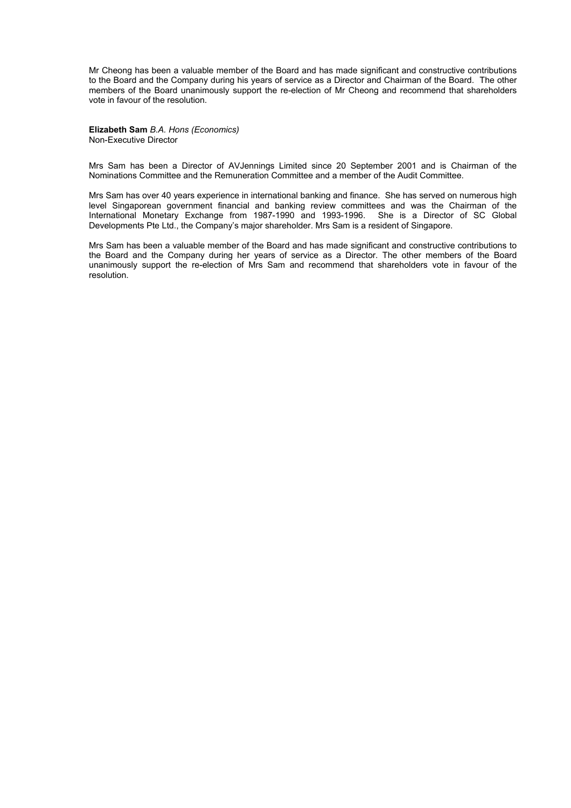Mr Cheong has been a valuable member of the Board and has made significant and constructive contributions to the Board and the Company during his years of service as a Director and Chairman of the Board. The other members of the Board unanimously support the re-election of Mr Cheong and recommend that shareholders vote in favour of the resolution.

**Elizabeth Sam** *B.A. Hons (Economics)*  Non-Executive Director

Mrs Sam has been a Director of AVJennings Limited since 20 September 2001 and is Chairman of the Nominations Committee and the Remuneration Committee and a member of the Audit Committee.

Mrs Sam has over 40 years experience in international banking and finance. She has served on numerous high level Singaporean government financial and banking review committees and was the Chairman of the International Monetary Exchange from 1987-1990 and 1993-1996. She is a Director of SC Global Developments Pte Ltd., the Company's major shareholder. Mrs Sam is a resident of Singapore.

Mrs Sam has been a valuable member of the Board and has made significant and constructive contributions to the Board and the Company during her years of service as a Director. The other members of the Board unanimously support the re-election of Mrs Sam and recommend that shareholders vote in favour of the resolution.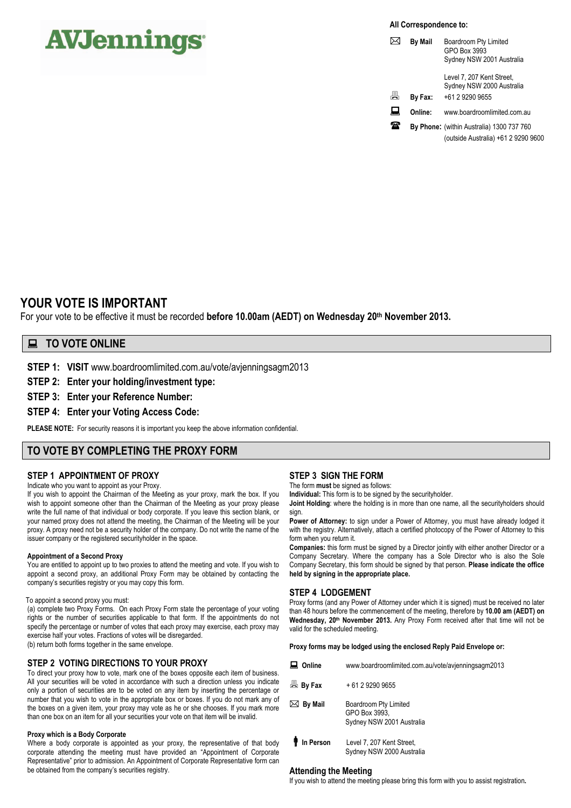# **AVJennings**

**All Correspondence to:** 

|   | <b>By Mail</b> | Boardroom Pty Limited<br>GPO Box 3993<br>Sydney NSW 2001 Australia |
|---|----------------|--------------------------------------------------------------------|
|   |                | Level 7, 207 Kent Street,<br>Sydney NSW 2000 Australia             |
| 昌 | By Fax:        | +61 2 9290 9655                                                    |
| ᆋ | Online:        | www.boardroomlimited.com.au                                        |
|   |                | <b>By Phone:</b> (within Australia) 1300 737 760                   |
|   |                | (outside Australia) +61 2 9290 9600                                |

# **YOUR VOTE IS IMPORTANT**

For your vote to be effective it must be recorded **before 10.00am (AEDT) on Wednesday 20th November 2013.** 

## **TO VOTE ONLINE**

**STEP 1: VISIT** www.boardroomlimited.com.au/vote/avienningsagm2013

### **STEP 2: Enter your holding/investment type:**

**STEP 3: Enter your Reference Number:** 

### **STEP 4: Enter your Voting Access Code:**

**PLEASE NOTE:** For security reasons it is important you keep the above information confidential.

### **TO VOTE BY COMPLETING THE PROXY FORM**

### **STEP 1 APPOINTMENT OF PROXY**

Indicate who you want to appoint as your Proxy.

If you wish to appoint the Chairman of the Meeting as your proxy, mark the box. If you wish to appoint someone other than the Chairman of the Meeting as your proxy please write the full name of that individual or body corporate. If you leave this section blank, or your named proxy does not attend the meeting, the Chairman of the Meeting will be your proxy. A proxy need not be a security holder of the company. Do not write the name of the issuer company or the registered securityholder in the space.

### **Appointment of a Second Proxy**

You are entitled to appoint up to two proxies to attend the meeting and vote. If you wish to appoint a second proxy, an additional Proxy Form may be obtained by contacting the company's securities registry or you may copy this form.

#### To appoint a second proxy you must:

(a) complete two Proxy Forms. On each Proxy Form state the percentage of your voting rights or the number of securities applicable to that form. If the appointments do not specify the percentage or number of votes that each proxy may exercise, each proxy may exercise half your votes. Fractions of votes will be disregarded. (b) return both forms together in the same envelope.

### **STEP 2 VOTING DIRECTIONS TO YOUR PROXY**

To direct your proxy how to vote, mark one of the boxes opposite each item of business. All your securities will be voted in accordance with such a direction unless you indicate only a portion of securities are to be voted on any item by inserting the percentage or number that you wish to vote in the appropriate box or boxes. If you do not mark any of the boxes on a given item, your proxy may vote as he or she chooses. If you mark more than one box on an item for all your securities your vote on that item will be invalid.

### **Proxy which is a Body Corporate**

Where a body corporate is appointed as your proxy, the representative of that body corporate attending the meeting must have provided an "Appointment of Corporate Representative" prior to admission. An Appointment of Corporate Representative form can be obtained from the company's securities registry.

### **STEP 3 SIGN THE FORM**

The form **must** be signed as follows:

**Individual:** This form is to be signed by the securityholder.

**Joint Holding**: where the holding is in more than one name, all the securityholders should sign.

Power of Attorney: to sign under a Power of Attorney, you must have already lodged it with the registry. Alternatively, attach a certified photocopy of the Power of Attorney to this form when you return it.

**Companies:** this form must be signed by a Director jointly with either another Director or a Company Secretary. Where the company has a Sole Director who is also the Sole Company Secretary, this form should be signed by that person. **Please indicate the office held by signing in the appropriate place.**

### **STEP 4 LODGEMENT**

Proxy forms (and any Power of Attorney under which it is signed) must be received no later than 48 hours before the commencement of the meeting, therefore by **10.00 am (AEDT) on Wednesday, 20th November 2013.** Any Proxy Form received after that time will not be valid for the scheduled meeting.

**Proxy forms may be lodged using the enclosed Reply Paid Envelope or:** 

| Online              | www.boardroomlimited.com.au/vote/avjenningsagm2013                  |  |  |
|---------------------|---------------------------------------------------------------------|--|--|
| 昌 By Fax            | + 61 2 9290 9655                                                    |  |  |
| $\boxtimes$ By Mail | Boardroom Pty Limited<br>GPO Box 3993.<br>Sydney NSW 2001 Australia |  |  |
| In Dessen           | $L$ and $7.207$ Kant Ctraot                                         |  |  |

**In Person** Level 7, 207 Kent Street, Sydney NSW 2000 Australia

### **Attending the Meeting**

If you wish to attend the meeting please bring this form with you to assist registration**.**